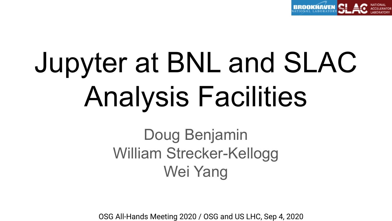

# Jupyter at BNL and SLAC Analysis Facilities

# Doug Benjamin William Strecker-Kellogg Wei Yang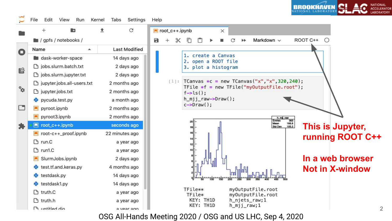**NATIONAL** RROOKHAVEN

File Edit View Run Kernel Tabs Settings Help

a

|   | $\pm$<br>b                          | G<br>昔               |
|---|-------------------------------------|----------------------|
|   | $\blacksquare$ / gpfs / notebooks / |                      |
|   | Name                                | <b>Last Modified</b> |
|   | dask-worker-space                   | 14 days ago          |
| S | b jobs.slurm.batch.txt              | 2 days ago           |
|   | □ jobs.slurm.jupyter.txt            | 2 days ago           |
| b | □ jupyter.jobs.all-users.txt        | 2 months ago         |
|   | □ jupyter.jobs.txt                  | 2 months ago         |
|   | 란 pycuda.test.py                    | a month ago          |
|   | $\n  Pyroot ipynb\n$                | 2 months ago         |
|   | $\blacksquare$ pyroot3.ipynb        | 2 months ago         |
|   | Toot_c++.ipynb                      | seconds ago          |
|   | root-c++_proof.jpynb                | 22 minutes ago       |
|   | $\Box$ run.C                        | a year ago           |
|   | ግ run1.C                            | a year ago           |
|   | SlurmJobs.ipynb                     | 2 days ago           |
|   | test.tf.and.keras.py                | 4 months ago         |
|   | testdask.py                         | 14 days ago          |
|   | testdask1.py                        | 14 days ago          |
|   | <b>P</b> truth.C                    | a year ago           |
|   | n truth.h                           | a year ago           |
|   | On baltitler                        | a year ago           |

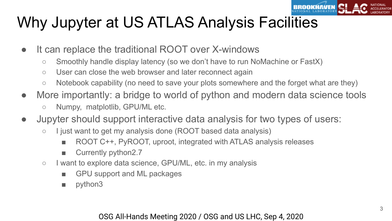

# Why Jupyter at US ATLAS Analysis Facilities

- It can replace the traditional ROOT over X-windows
	- Smoothly handle display latency (so we don't have to run NoMachine or FastX)
	- User can close the web browser and later reconnect again
	- Notebook capability (no need to save your plots somewhere and the forget what are they)
- More importantly: a bridge to world of python and modern data science tools
	- Numpy, matplotlib, GPU/ML etc.
- Jupyter should support interactive data analysis for two types of users:
	- I just want to get my analysis done (ROOT based data analysis)
		- ROOT C++, PyROOT, uproot, integrated with ATLAS analysis releases
		- Currently python2.7
	- I want to explore data science, GPU/ML, etc. in my analysis
		- GPU support and ML packages
		- python3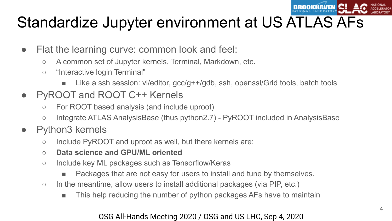

# Standardize Jupyter environment at US ATLAS AFs

- Flat the learning curve: common look and feel:
	- A common set of Jupyter kernels, Terminal, Markdown, etc.
	- "Interactive login Terminal"
		- Like a ssh session: vi/editor, gcc/g++/gdb, ssh, openssl/Grid tools, batch tools
- PyROOT and ROOT C++ Kernels
	- For ROOT based analysis (and include uproot)
	- Integrate ATLAS AnalysisBase (thus python2.7) PyROOT included in AnalysisBase
- Python3 kernels
	- Include PyROOT and uproot as well, but there kernels are:
	- **○ Data science and GPU/ML oriented**
	- Include key ML packages such as Tensorflow/Keras
		- Packages that are not easy for users to install and tune by themselves.
	- In the meantime, allow users to install additional packages (via PIP, etc.)
		- This help reducing the number of python packages AFs have to maintain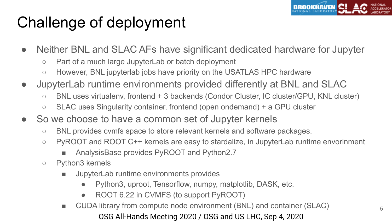

# Challenge of deployment

- Neither BNL and SLAC AFs have significant dedicated hardware for Jupyter
	- Part of a much large JupyterLab or batch deployment
	- However, BNL jupyterlab jobs have priority on the USATLAS HPC hardware
- JupyterLab runtime environments provided differently at BNL and SLAC
	- BNL uses virtualenv, frontend + 3 backends (Condor Cluster, IC cluster/GPU, KNL cluster)
	- SLAC uses Singularity container, frontend (open ondemand) + a GPU cluster
- So we choose to have a common set of Jupyter kernels
	- BNL provides cvmfs space to store relevant kernels and software packages.
	- PyROOT and ROOT C++ kernels are easy to stardalize, in JupyterLab runtime envorinment
		- AnalysisBase provides PyROOT and Python2.7
	- Python3 kernels
		- JupyterLab runtime environments provides
			- Python3, uproot, Tensorflow, numpy, matplotlib, DASK, etc.
			- ROOT 6.22 in CVMFS (to support PyROOT)
		- OSG All-Hands Meeting 2020 / OSG and US LHC, Sep 4, 2020 **■** CUDA library from compute node environment (BNL) and container (SLAC)  $\frac{5}{5}$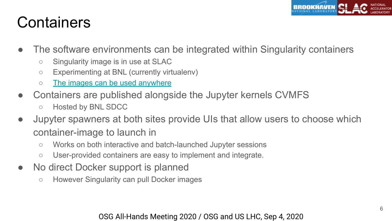

### **Containers**

- The software environments can be integrated within Singularity containers
	- Singularity image is in use at SLAC
	- Experimenting at BNL (currently virtualenv)
	- [The images can be used anywhere](https://usatlas.github.io/tier3docs/jupyter/SLACjupyter.html#an-alternative-way-to-use-the-atlas-jupyter-environment-at-slac)
- Containers are published alongside the Jupyter kernels CVMFS
	- Hosted by BNL SDCC
- Jupyter spawners at both sites provide UIs that allow users to choose which container-image to launch in
	- Works on both interactive and batch-launched Jupyter sessions
	- User-provided containers are easy to implement and integrate.
- No direct Docker support is planned
	- However Singularity can pull Docker images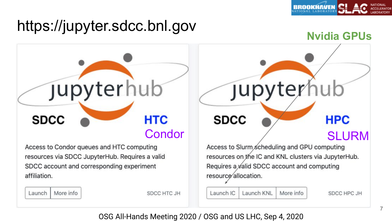

### https://jupyter.sdcc.bnl.gov

**SDCC** 

affiliation.

Launch

### **Nvidia GPUs Jupyterhub HTC SDCC HPC** Condor SLURM Access to Slurm scheduling and GPU computing Access to Condor queues and HTC computing resources on the IC and KNL clusters via JupyterHub. resources via SDCC JupyterHub. Requires a valid SDCC account and corresponding experiment Requires a  $y$ alid SDCC account and computing resource allocation. More info Launch IC Launch KNL SDCC HTC JH More info SDCC HPC JH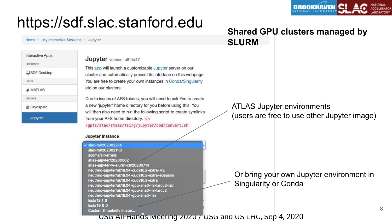

### https://sdf.slac.stanford.edu

Home / My Interactive Sessions / Jupyter

| <b>Interactive Apps</b> |
|-------------------------|
| Desktops                |
| SDF Desktop             |
| GUIS                    |
| <b>A MATLAB</b>         |
| Servers                 |
| <b>&amp; Cryosparc</b>  |
| Jupyter                 |

**Jupyter** version: a8f0d47

This app will launch a customizable Jupyter server on our cluster and automatically present its interface on this webpage. You are free to create your own instances in Conda/Singularity etc on our clusters.

Due to issues of AFS tokens, you will need to ask Yee to create a new 'iupyter' home directory for you before using this. You will then also need to run the following script to create symlinks from your AFS home directory. sh

/gpfs/slac/staas/fs1/g/jupyter/ood/convert.sh

#### Jupyter Instance

slac-ml/20200227.0 slac-ml/20200211.0 scdms/allkernels atlas-jupyter/20200502 atlas-jupyter-w-slurm-cli/20200714 neutrino-jupyter/ub18.04-cuda10.2-extra-ME neutrino-jupyter/ub18.04-cuda10.2-extra-edepsim neutrino-jupyter/ub18.04-cuda10.2-extra neutrino-jupyter/ub18.04-gpu-ana0-ml-larcv2-lab neutrino-jupyter/ub18.04-gpu-ana0-ml-larcv2 neutrino-jupyter/ub18.04-gpu-ana0-mn Isst/r18\_1\_0 lsst/r19\_0\_0 **Custom Singularity Image...** 

### **Shared GPU clusters managed by SLURM**

### ATLAS Jupyter environments (users are free to use other Jupyter image)

Or bring your own Jupyter environment in Singularity or Conda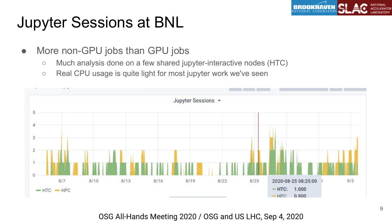

# Jupyter Sessions at BNL

- More non-GPU jobs than GPU jobs
	- Much analysis done on a few shared jupyter-interactive nodes (HTC)
	- Real CPU usage is quite light for most jupyter work we've seen

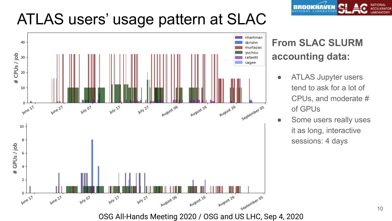## ATLAS users' usage pattern at SLAC





### **From SLAC SLURM accounting data:**

- ATLAS Jupyter users tend to ask for a lot of CPUs, and moderate # of GPUs
- Some users really uses it as long, interactive sessions: 4 days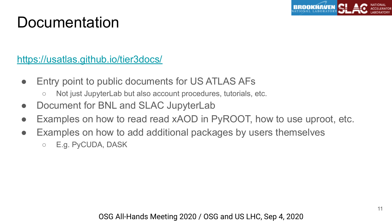

### **Documentation**

### <https://usatlas.github.io/tier3docs/>

- Entry point to public documents for US ATLAS AFs
	- Not just JupyterLab but also account procedures, tutorials, etc.
- Document for BNL and SLAC JupyterLab
- Examples on how to read read xAOD in PyROOT, how to use uproot, etc.
- Examples on how to add additional packages by users themselves ○ E.g. PyCUDA, DASK